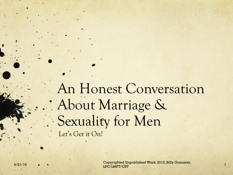An Honest Conversation About Marriage & Sexuality for Men Let's Get it On!

4/21/16 1 Copyrighted Unpublished Work. 2016, Billy Grammer, LPC/LMFT/CST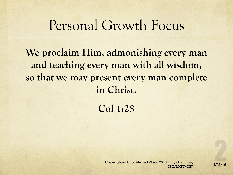#### Personal Growth Focus

**We proclaim Him, admonishing every man and teaching every man with all wisdom, so that we may present every man complete in Christ.**

**Col 1:28**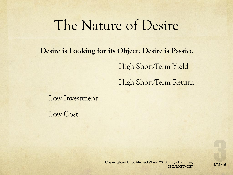## The Nature of Desire

**Desire is Looking for its Object: Desire is Passive** 

High Short-Term Yield

High Short-Term Return

Low Investment

Low Cost

Copyrighted Unpublished Work. 2016, Billy Grammer,<br>4/21/16 LPC/LMFT/CST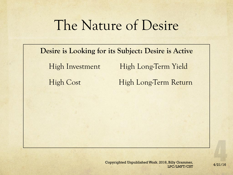# The Nature of Desire

**Desire is Looking for its Subject: Desire is Active**  High Investment High Long-Term Yield High Cost High Long-Term Return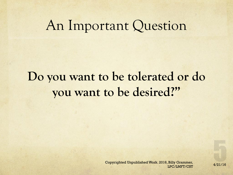#### An Important Question

## **Do you want to be tolerated or do you want to be desired?"**

4/21/16 Copyrighted Unpublished Work. 2016, Billy Grammer, LPC/LMFT/CST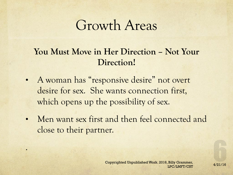## Growth Areas

#### **You Must Move in Her Direction – Not Your Direction!**

• A woman has "responsive desire" not overt desire for sex. She wants connection first, which opens up the possibility of sex.

.

• Men want sex first and then feel connected and close to their partner.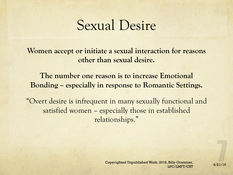### Sexual Desire

**Women accept or initiate a sexual interaction for reasons other than sexual desire.**

**The number one reason is to increase Emotional Bonding – especially in response to Romantic Settings.**

"Overt desire is infrequent in many sexually functional and satisfied women – especially those in established relationships."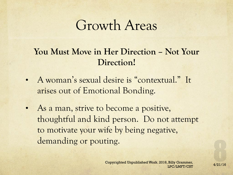## Growth Areas

#### **You Must Move in Her Direction – Not Your Direction!**

- A woman's sexual desire is "contextual." It arises out of Emotional Bonding.
- As a man, strive to become a positive, thoughtful and kind person. Do not attempt to motivate your wife by being negative, demanding or pouting.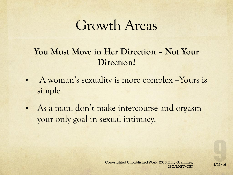## Growth Areas

#### **You Must Move in Her Direction – Not Your Direction!**

- A woman's sexuality is more complex Yours is simple
- As a man, don't make intercourse and orgasm your only goal in sexual intimacy.